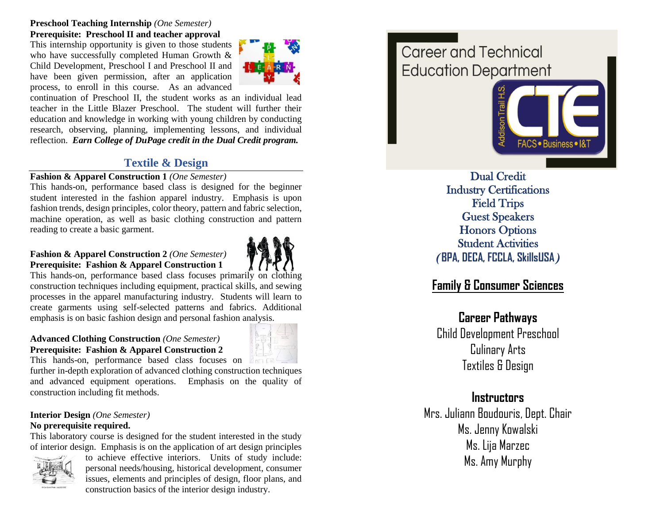**Preschool Teaching Internship** *(One Semester)* **Prerequisite: Preschool II and teacher approval**

This internship opportunity is given to those students who have successfully completed Human Growth & Child Development, Preschool I and Preschool II and have been given permission, after an application process, to enroll in this course. As an advanced



continuation of Preschool II, the student works as an individual lead teacher in the Little Blazer Preschool. The student will further their education and knowledge in working with young children by conducting research, observing, planning, implementing lessons, and individual reflection. *Earn College of DuPage credit in the Dual Credit program.*

# **Textile & Design**

### **Fashion & Apparel Construction 1** *(One Semester)*

This hands -on, performance based class is designed for the beginner student interested in the fashion apparel industry. Emphasis is upon fashion trends, design principles, color theory, pattern and fabric selection, machine operation, as well as basic clothing construction and pattern reading to create a basic garment.

### **Fashion & Apparel Construction 2** *(One Semester)* **Prerequisite: Fashion & Apparel Construction 1**



This hands -on, performance based class focuses primarily on clothing construction techniques including equipment, practical skills, and sewing processes in the apparel manufacturing industry. Students will learn to create garments using self -selected patterns and fabrics. Additional emphasis is on basic fashion design and personal fashion analysis.

### **Advanced Clothing Construction** *(One Semester)* **Prerequisite: Fashion & Apparel Construction 2**



This hands -on, performance based class focuses on

further in -depth exploration of advanced clothing construction techniques and advanced equipment operations. Emphasis on the quality of construction including fit methods.

#### **Interior Design** *(One Semester)*  **No prerequisite required.**

This laboratory course is designed for the student interested in the study of interior design. Emphasis is on the application of art design principles



to achieve effective interiors. Units of study include: personal needs/housing, historical development, consumer issues, elements and principles of design, floor plans, and construction basics of the interior design industry.

# Career and Technical **Education Department**



Dual Credit Industry Certifications Field Trips Guest Speakers Honors Options Student Activities **(BPA, DECA, FCCLA, SkillsUSA )**

# **Family & Consumer Sciences**

# **Career Pathways**

Child Development Preschool Culinary Arts Textiles & Design

# **Instructors**

Mrs. Juliann Boudouris, Dept. Chair Ms. Jenny Kowalski Ms. Lija Marzec Ms. Amy Murphy